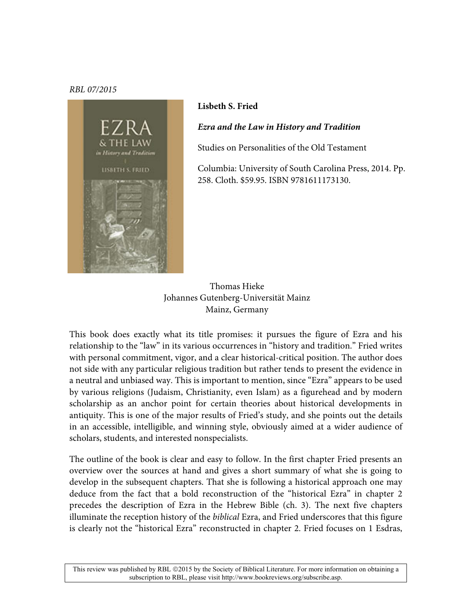## *RBL 07/2015*



## **Lisbeth S. Fried**

*Ezra and the Law in History and Tradition* 

Studies on Personalities of the Old Testament

Columbia: University of South Carolina Press, 2014. Pp. 258. Cloth. \$59.95. ISBN 9781611173130.

Thomas Hieke Johannes Gutenberg-Universität Mainz Mainz, Germany

This book does exactly what its title promises: it pursues the figure of Ezra and his relationship to the "law" in its various occurrences in "history and tradition." Fried writes with personal commitment, vigor, and a clear historical-critical position. The author does not side with any particular religious tradition but rather tends to present the evidence in a neutral and unbiased way. This is important to mention, since "Ezra" appears to be used by various religions (Judaism, Christianity, even Islam) as a figurehead and by modern scholarship as an anchor point for certain theories about historical developments in antiquity. This is one of the major results of Fried's study, and she points out the details in an accessible, intelligible, and winning style, obviously aimed at a wider audience of scholars, students, and interested nonspecialists.

The outline of the book is clear and easy to follow. In the first chapter Fried presents an overview over the sources at hand and gives a short summary of what she is going to develop in the subsequent chapters. That she is following a historical approach one may deduce from the fact that a bold reconstruction of the "historical Ezra" in chapter 2 precedes the description of Ezra in the Hebrew Bible (ch. 3). The next five chapters illuminate the reception history of the *biblical* Ezra, and Fried underscores that this figure is clearly not the "historical Ezra" reconstructed in chapter 2. Fried focuses on 1 Esdras,

This review was published by RBL 2015 by the Society of Biblical Literature. For more information on obtaining a subscription to RBL, please visit http://www.bookreviews.org/subscribe.asp.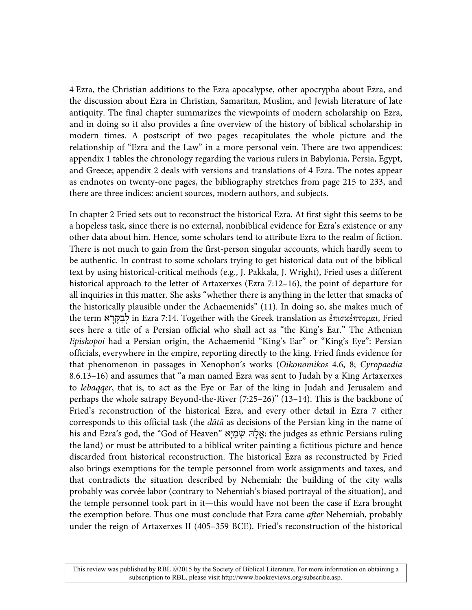4 Ezra, the Christian additions to the Ezra apocalypse, other apocrypha about Ezra, and the discussion about Ezra in Christian, Samaritan, Muslim, and Jewish literature of late antiquity. The final chapter summarizes the viewpoints of modern scholarship on Ezra, and in doing so it also provides a fine overview of the history of biblical scholarship in modern times. A postscript of two pages recapitulates the whole picture and the relationship of "Ezra and the Law" in a more personal vein. There are two appendices: appendix 1 tables the chronology regarding the various rulers in Babylonia, Persia, Egypt, and Greece; appendix 2 deals with versions and translations of 4 Ezra. The notes appear as endnotes on twenty-one pages, the bibliography stretches from page 215 to 233, and there are three indices: ancient sources, modern authors, and subjects.

In chapter 2 Fried sets out to reconstruct the historical Ezra. At first sight this seems to be a hopeless task, since there is no external, nonbiblical evidence for Ezra's existence or any other data about him. Hence, some scholars tend to attribute Ezra to the realm of fiction. There is not much to gain from the first-person singular accounts, which hardly seem to be authentic. In contrast to some scholars trying to get historical data out of the biblical text by using historical-critical methods (e.g., J. Pakkala, J. Wright), Fried uses a different historical approach to the letter of Artaxerxes (Ezra 7:12–16), the point of departure for all inquiries in this matter. She asks "whether there is anything in the letter that smacks of the historically plausible under the Achaemenids" (11). In doing so, she makes much of the term ראָקָּבַלְ in Ezra 7:14. Together with the Greek translation as ἐπισκέπτοµαι, Fried sees here a title of a Persian official who shall act as "the King's Ear." The Athenian *Episkopoi* had a Persian origin, the Achaemenid "King's Ear" or "King's Eye": Persian officials, everywhere in the empire, reporting directly to the king. Fried finds evidence for that phenomenon in passages in Xenophon's works (*Oikonomikos* 4.6, 8; *Cyropaedia*  8.6.13–16) and assumes that "a man named Ezra was sent to Judah by a King Artaxerxes to *lebaqqer*, that is, to act as the Eye or Ear of the king in Judah and Jerusalem and perhaps the whole satrapy Beyond-the-River (7:25–26)" (13–14). This is the backbone of Fried's reconstruction of the historical Ezra, and every other detail in Ezra 7 either corresponds to this official task (the *dātā* as decisions of the Persian king in the name of his and Ezra's god, the "God of Heaven" יּאָמַשְׁ להָּאֱ ;the judges as ethnic Persians ruling the land) or must be attributed to a biblical writer painting a fictitious picture and hence discarded from historical reconstruction. The historical Ezra as reconstructed by Fried also brings exemptions for the temple personnel from work assignments and taxes, and that contradicts the situation described by Nehemiah: the building of the city walls probably was corvée labor (contrary to Nehemiah's biased portrayal of the situation), and the temple personnel took part in it—this would have not been the case if Ezra brought the exemption before. Thus one must conclude that Ezra came *after* Nehemiah, probably under the reign of Artaxerxes II (405–359 BCE). Fried's reconstruction of the historical

This review was published by RBL ©2015 by the Society of Biblical Literature. For more information on obtaining a subscription to RBL, please visit http://www.bookreviews.org/subscribe.asp.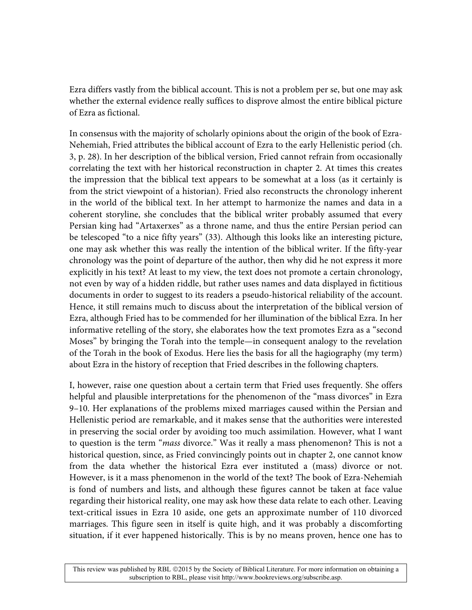Ezra differs vastly from the biblical account. This is not a problem per se, but one may ask whether the external evidence really suffices to disprove almost the entire biblical picture of Ezra as fictional.

In consensus with the majority of scholarly opinions about the origin of the book of Ezra-Nehemiah, Fried attributes the biblical account of Ezra to the early Hellenistic period (ch. 3, p. 28). In her description of the biblical version, Fried cannot refrain from occasionally correlating the text with her historical reconstruction in chapter 2. At times this creates the impression that the biblical text appears to be somewhat at a loss (as it certainly is from the strict viewpoint of a historian). Fried also reconstructs the chronology inherent in the world of the biblical text. In her attempt to harmonize the names and data in a coherent storyline, she concludes that the biblical writer probably assumed that every Persian king had "Artaxerxes" as a throne name, and thus the entire Persian period can be telescoped "to a nice fifty years" (33). Although this looks like an interesting picture, one may ask whether this was really the intention of the biblical writer. If the fifty-year chronology was the point of departure of the author, then why did he not express it more explicitly in his text? At least to my view, the text does not promote a certain chronology, not even by way of a hidden riddle, but rather uses names and data displayed in fictitious documents in order to suggest to its readers a pseudo-historical reliability of the account. Hence, it still remains much to discuss about the interpretation of the biblical version of Ezra, although Fried has to be commended for her illumination of the biblical Ezra. In her informative retelling of the story, she elaborates how the text promotes Ezra as a "second Moses" by bringing the Torah into the temple—in consequent analogy to the revelation of the Torah in the book of Exodus. Here lies the basis for all the hagiography (my term) about Ezra in the history of reception that Fried describes in the following chapters.

I, however, raise one question about a certain term that Fried uses frequently. She offers helpful and plausible interpretations for the phenomenon of the "mass divorces" in Ezra 9–10. Her explanations of the problems mixed marriages caused within the Persian and Hellenistic period are remarkable, and it makes sense that the authorities were interested in preserving the social order by avoiding too much assimilation. However, what I want to question is the term "*mass* divorce." Was it really a mass phenomenon? This is not a historical question, since, as Fried convincingly points out in chapter 2, one cannot know from the data whether the historical Ezra ever instituted a (mass) divorce or not. However, is it a mass phenomenon in the world of the text? The book of Ezra-Nehemiah is fond of numbers and lists, and although these figures cannot be taken at face value regarding their historical reality, one may ask how these data relate to each other. Leaving text-critical issues in Ezra 10 aside, one gets an approximate number of 110 divorced marriages. This figure seen in itself is quite high, and it was probably a discomforting situation, if it ever happened historically. This is by no means proven, hence one has to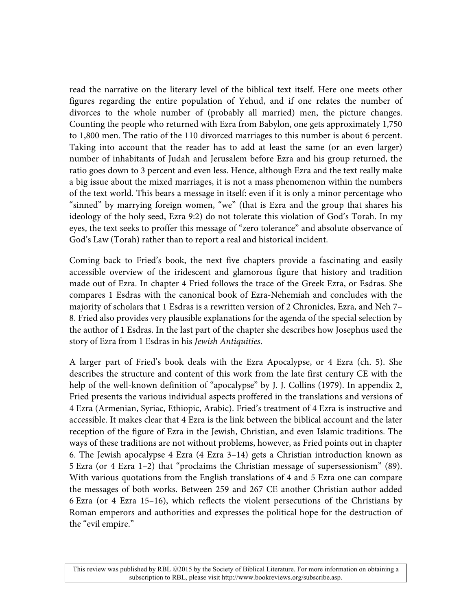read the narrative on the literary level of the biblical text itself. Here one meets other figures regarding the entire population of Yehud, and if one relates the number of divorces to the whole number of (probably all married) men, the picture changes. Counting the people who returned with Ezra from Babylon, one gets approximately 1,750 to 1,800 men. The ratio of the 110 divorced marriages to this number is about 6 percent. Taking into account that the reader has to add at least the same (or an even larger) number of inhabitants of Judah and Jerusalem before Ezra and his group returned, the ratio goes down to 3 percent and even less. Hence, although Ezra and the text really make a big issue about the mixed marriages, it is not a mass phenomenon within the numbers of the text world. This bears a message in itself: even if it is only a minor percentage who "sinned" by marrying foreign women, "we" (that is Ezra and the group that shares his ideology of the holy seed, Ezra 9:2) do not tolerate this violation of God's Torah. In my eyes, the text seeks to proffer this message of "zero tolerance" and absolute observance of God's Law (Torah) rather than to report a real and historical incident.

Coming back to Fried's book, the next five chapters provide a fascinating and easily accessible overview of the iridescent and glamorous figure that history and tradition made out of Ezra. In chapter 4 Fried follows the trace of the Greek Ezra, or Esdras. She compares 1 Esdras with the canonical book of Ezra-Nehemiah and concludes with the majority of scholars that 1 Esdras is a rewritten version of 2 Chronicles, Ezra, and Neh 7– 8. Fried also provides very plausible explanations for the agenda of the special selection by the author of 1 Esdras. In the last part of the chapter she describes how Josephus used the story of Ezra from 1 Esdras in his *Jewish Antiquities*.

A larger part of Fried's book deals with the Ezra Apocalypse, or 4 Ezra (ch. 5). She describes the structure and content of this work from the late first century CE with the help of the well-known definition of "apocalypse" by J. J. Collins (1979). In appendix 2, Fried presents the various individual aspects proffered in the translations and versions of 4 Ezra (Armenian, Syriac, Ethiopic, Arabic). Fried's treatment of 4 Ezra is instructive and accessible. It makes clear that 4 Ezra is the link between the biblical account and the later reception of the figure of Ezra in the Jewish, Christian, and even Islamic traditions. The ways of these traditions are not without problems, however, as Fried points out in chapter 6. The Jewish apocalypse 4 Ezra (4 Ezra 3–14) gets a Christian introduction known as 5 Ezra (or 4 Ezra 1–2) that "proclaims the Christian message of supersessionism" (89). With various quotations from the English translations of 4 and 5 Ezra one can compare the messages of both works. Between 259 and 267 CE another Christian author added 6 Ezra (or 4 Ezra 15–16), which reflects the violent persecutions of the Christians by Roman emperors and authorities and expresses the political hope for the destruction of the "evil empire."

This review was published by RBL ©2015 by the Society of Biblical Literature. For more information on obtaining a subscription to RBL, please visit http://www.bookreviews.org/subscribe.asp.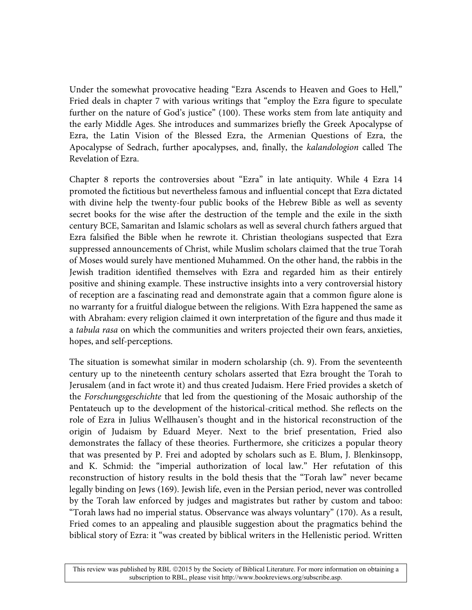Under the somewhat provocative heading "Ezra Ascends to Heaven and Goes to Hell," Fried deals in chapter 7 with various writings that "employ the Ezra figure to speculate further on the nature of God's justice" (100). These works stem from late antiquity and the early Middle Ages. She introduces and summarizes briefly the Greek Apocalypse of Ezra, the Latin Vision of the Blessed Ezra, the Armenian Questions of Ezra, the Apocalypse of Sedrach, further apocalypses, and, finally, the *kalandologion* called The Revelation of Ezra.

Chapter 8 reports the controversies about "Ezra" in late antiquity. While 4 Ezra 14 promoted the fictitious but nevertheless famous and influential concept that Ezra dictated with divine help the twenty-four public books of the Hebrew Bible as well as seventy secret books for the wise after the destruction of the temple and the exile in the sixth century BCE, Samaritan and Islamic scholars as well as several church fathers argued that Ezra falsified the Bible when he rewrote it. Christian theologians suspected that Ezra suppressed announcements of Christ, while Muslim scholars claimed that the true Torah of Moses would surely have mentioned Muhammed. On the other hand, the rabbis in the Jewish tradition identified themselves with Ezra and regarded him as their entirely positive and shining example. These instructive insights into a very controversial history of reception are a fascinating read and demonstrate again that a common figure alone is no warranty for a fruitful dialogue between the religions. With Ezra happened the same as with Abraham: every religion claimed it own interpretation of the figure and thus made it a *tabula rasa* on which the communities and writers projected their own fears, anxieties, hopes, and self-perceptions.

The situation is somewhat similar in modern scholarship (ch. 9). From the seventeenth century up to the nineteenth century scholars asserted that Ezra brought the Torah to Jerusalem (and in fact wrote it) and thus created Judaism. Here Fried provides a sketch of the *Forschungsgeschichte* that led from the questioning of the Mosaic authorship of the Pentateuch up to the development of the historical-critical method. She reflects on the role of Ezra in Julius Wellhausen's thought and in the historical reconstruction of the origin of Judaism by Eduard Meyer. Next to the brief presentation, Fried also demonstrates the fallacy of these theories. Furthermore, she criticizes a popular theory that was presented by P. Frei and adopted by scholars such as E. Blum, J. Blenkinsopp, and K. Schmid: the "imperial authorization of local law." Her refutation of this reconstruction of history results in the bold thesis that the "Torah law" never became legally binding on Jews (169). Jewish life, even in the Persian period, never was controlled by the Torah law enforced by judges and magistrates but rather by custom and taboo: "Torah laws had no imperial status. Observance was always voluntary" (170). As a result, Fried comes to an appealing and plausible suggestion about the pragmatics behind the biblical story of Ezra: it "was created by biblical writers in the Hellenistic period. Written